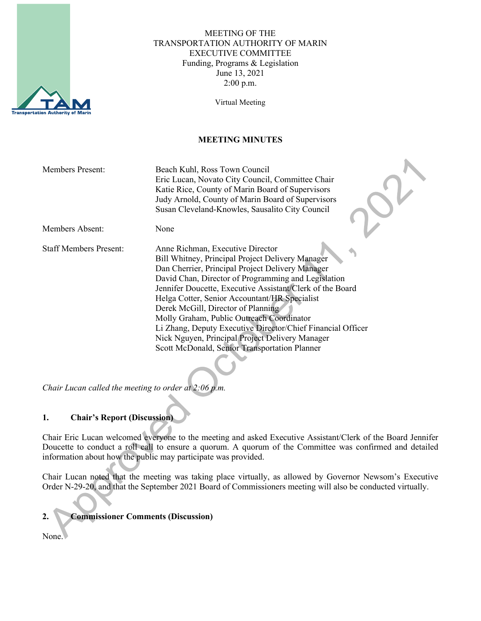

#### MEETING OF THE TRANSPORTATION AUTHORITY OF MARIN EXECUTIVE COMMITTEE Funding, Programs & Legislation June 13, 2021 2:00 p.m.

Virtual Meeting

### **MEETING MINUTES**

| <b>Members Present:</b>       | Beach Kuhl, Ross Town Council<br>Eric Lucan, Novato City Council, Committee Chair<br>Katie Rice, County of Marin Board of Supervisors<br>Judy Arnold, County of Marin Board of Supervisors<br>Susan Cleveland-Knowles, Sausalito City Council                                                                                                                                                                                                                                                                                                                       |
|-------------------------------|---------------------------------------------------------------------------------------------------------------------------------------------------------------------------------------------------------------------------------------------------------------------------------------------------------------------------------------------------------------------------------------------------------------------------------------------------------------------------------------------------------------------------------------------------------------------|
| Members Absent:               | None                                                                                                                                                                                                                                                                                                                                                                                                                                                                                                                                                                |
| <b>Staff Members Present:</b> | Anne Richman, Executive Director<br>Bill Whitney, Principal Project Delivery Manager<br>Dan Cherrier, Principal Project Delivery Manager<br>David Chan, Director of Programming and Legislation<br>Jennifer Doucette, Executive Assistant/Clerk of the Board<br>Helga Cotter, Senior Accountant/HR Specialist<br>Derek McGill, Director of Planning<br>Molly Graham, Public Outreach Coordinator<br>Li Zhang, Deputy Executive Director/Chief Financial Officer<br>Nick Nguyen, Principal Project Delivery Manager<br>Scott McDonald, Senior Transportation Planner |

*Chair Lucan called the meeting to order at 2:06 p.m.*

### **1. Chair's Report (Discussion)**

Chair Eric Lucan welcomed everyone to the meeting and asked Executive Assistant/Clerk of the Board Jennifer Doucette to conduct a roll call to ensure a quorum. A quorum of the Committee was confirmed and detailed information about how the public may participate was provided.

Chair Lucan noted that the meeting was taking place virtually, as allowed by Governor Newsom's Executive Order N-29-20, and that the September 2021 Board of Commissioners meeting will also be conducted virtually.

# **2. Commissioner Comments (Discussion)**

None.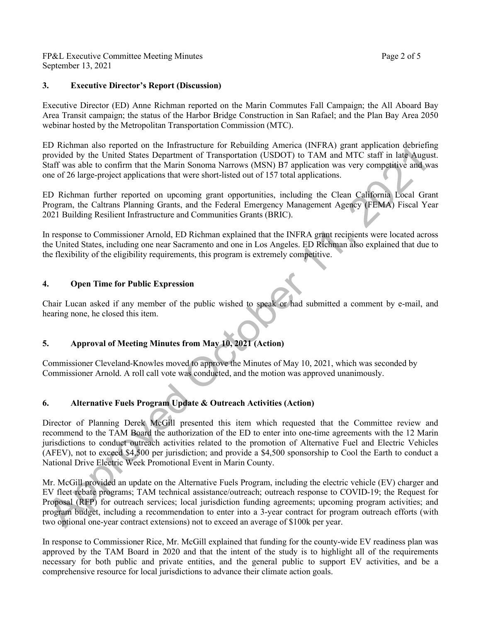FP&L Executive Committee Meeting Minutes **Page 2** of 5 September 13, 2021

#### **3. Executive Director's Report (Discussion)**

Executive Director (ED) Anne Richman reported on the Marin Commutes Fall Campaign; the All Aboard Bay Area Transit campaign; the status of the Harbor Bridge Construction in San Rafael; and the Plan Bay Area 2050 webinar hosted by the Metropolitan Transportation Commission (MTC).

ED Richman also reported on the Infrastructure for Rebuilding America (INFRA) grant application debriefing provided by the United States Department of Transportation (USDOT) to TAM and MTC staff in late August. Staff was able to confirm that the Marin Sonoma Narrows (MSN) B7 application was very competitive and was one of 26 large-project applications that were short-listed out of 157 total applications.

ED Richman further reported on upcoming grant opportunities, including the Clean California Local Grant Program, the Caltrans Planning Grants, and the Federal Emergency Management Agency (FEMA) Fiscal Year 2021 Building Resilient Infrastructure and Communities Grants (BRIC).

In response to Commissioner Arnold, ED Richman explained that the INFRA grant recipients were located across the United States, including one near Sacramento and one in Los Angeles. ED Richman also explained that due to the flexibility of the eligibility requirements, this program is extremely competitive.

### **4. Open Time for Public Expression**

Chair Lucan asked if any member of the public wished to speak or had submitted a comment by e-mail, and hearing none, he closed this item.

### **5. Approval of Meeting Minutes from May 10, 2021 (Action)**

Commissioner Cleveland-Knowles moved to approve the Minutes of May 10, 2021, which was seconded by Commissioner Arnold. A roll call vote was conducted, and the motion was approved unanimously.

# **6. Alternative Fuels Program Update & Outreach Activities (Action)**

Director of Planning Derek McGill presented this item which requested that the Committee review and recommend to the TAM Board the authorization of the ED to enter into one-time agreements with the 12 Marin jurisdictions to conduct outreach activities related to the promotion of Alternative Fuel and Electric Vehicles (AFEV), not to exceed \$4,500 per jurisdiction; and provide a \$4,500 sponsorship to Cool the Earth to conduct a National Drive Electric Week Promotional Event in Marin County.

Mr. McGill provided an update on the Alternative Fuels Program, including the electric vehicle (EV) charger and EV fleet rebate programs; TAM technical assistance/outreach; outreach response to COVID-19; the Request for Proposal (RFP) for outreach services; local jurisdiction funding agreements; upcoming program activities; and program budget, including a recommendation to enter into a 3-year contract for program outreach efforts (with two optional one-year contract extensions) not to exceed an average of \$100k per year.

In response to Commissioner Rice, Mr. McGill explained that funding for the county-wide EV readiness plan was approved by the TAM Board in 2020 and that the intent of the study is to highlight all of the requirements necessary for both public and private entities, and the general public to support EV activities, and be a comprehensive resource for local jurisdictions to advance their climate action goals.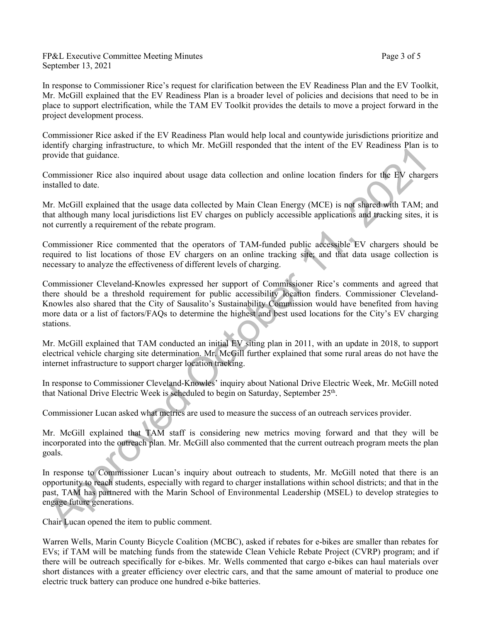FP&L Executive Committee Meeting Minutes **Page 3** of 5 September 13, 2021

In response to Commissioner Rice's request for clarification between the EV Readiness Plan and the EV Toolkit, Mr. McGill explained that the EV Readiness Plan is a broader level of policies and decisions that need to be in place to support electrification, while the TAM EV Toolkit provides the details to move a project forward in the project development process.

Commissioner Rice asked if the EV Readiness Plan would help local and countywide jurisdictions prioritize and identify charging infrastructure, to which Mr. McGill responded that the intent of the EV Readiness Plan is to provide that guidance.

Commissioner Rice also inquired about usage data collection and online location finders for the EV chargers installed to date.

Mr. McGill explained that the usage data collected by Main Clean Energy (MCE) is not shared with TAM; and that although many local jurisdictions list EV charges on publicly accessible applications and tracking sites, it is not currently a requirement of the rebate program.

Commissioner Rice commented that the operators of TAM-funded public accessible EV chargers should be required to list locations of those EV chargers on an online tracking site; and that data usage collection is necessary to analyze the effectiveness of different levels of charging.

Commissioner Cleveland-Knowles expressed her support of Commissioner Rice's comments and agreed that there should be a threshold requirement for public accessibility location finders. Commissioner Cleveland-Knowles also shared that the City of Sausalito's Sustainability Commission would have benefited from having more data or a list of factors/FAQs to determine the highest and best used locations for the City's EV charging stations.

Mr. McGill explained that TAM conducted an initial EV siting plan in 2011, with an update in 2018, to support electrical vehicle charging site determination. Mr. McGill further explained that some rural areas do not have the internet infrastructure to support charger location tracking.

In response to Commissioner Cleveland-Knowles' inquiry about National Drive Electric Week, Mr. McGill noted that National Drive Electric Week is scheduled to begin on Saturday, September 25<sup>th</sup>.

Commissioner Lucan asked what metrics are used to measure the success of an outreach services provider.

Mr. McGill explained that TAM staff is considering new metrics moving forward and that they will be incorporated into the outreach plan. Mr. McGill also commented that the current outreach program meets the plan goals.

In response to Commissioner Lucan's inquiry about outreach to students, Mr. McGill noted that there is an opportunity to reach students, especially with regard to charger installations within school districts; and that in the past, TAM has partnered with the Marin School of Environmental Leadership (MSEL) to develop strategies to engage future generations.

Chair Lucan opened the item to public comment.

Warren Wells, Marin County Bicycle Coalition (MCBC), asked if rebates for e-bikes are smaller than rebates for EVs; if TAM will be matching funds from the statewide Clean Vehicle Rebate Project (CVRP) program; and if there will be outreach specifically for e-bikes. Mr. Wells commented that cargo e-bikes can haul materials over short distances with a greater efficiency over electric cars, and that the same amount of material to produce one electric truck battery can produce one hundred e-bike batteries.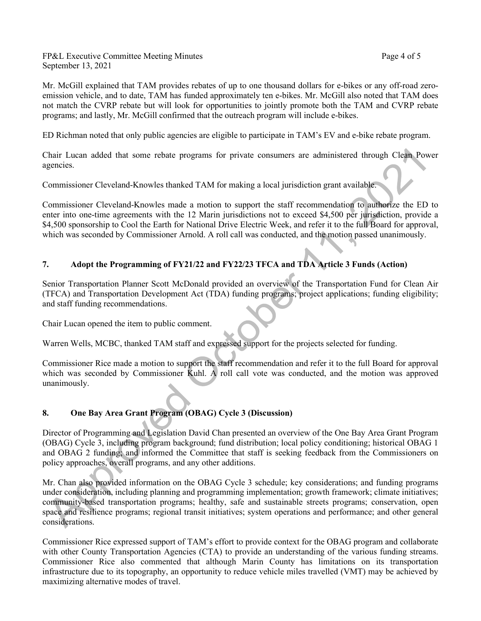FP&L Executive Committee Meeting Minutes **Page 4** of 5 September 13, 2021

Mr. McGill explained that TAM provides rebates of up to one thousand dollars for e-bikes or any off-road zeroemission vehicle, and to date, TAM has funded approximately ten e-bikes. Mr. McGill also noted that TAM does not match the CVRP rebate but will look for opportunities to jointly promote both the TAM and CVRP rebate programs; and lastly, Mr. McGill confirmed that the outreach program will include e-bikes.

ED Richman noted that only public agencies are eligible to participate in TAM's EV and e-bike rebate program.

Chair Lucan added that some rebate programs for private consumers are administered through Clean Power agencies.

Commissioner Cleveland-Knowles thanked TAM for making a local jurisdiction grant available.

Commissioner Cleveland-Knowles made a motion to support the staff recommendation to authorize the ED to enter into one-time agreements with the 12 Marin jurisdictions not to exceed \$4,500 per jurisdiction, provide a \$4,500 sponsorship to Cool the Earth for National Drive Electric Week, and refer it to the full Board for approval, which was seconded by Commissioner Arnold. A roll call was conducted, and the motion passed unanimously.

### **7. Adopt the Programming of FY21/22 and FY22/23 TFCA and TDA Article 3 Funds (Action)**

Senior Transportation Planner Scott McDonald provided an overview of the Transportation Fund for Clean Air (TFCA) and Transportation Development Act (TDA) funding programs; project applications; funding eligibility; and staff funding recommendations.

Chair Lucan opened the item to public comment.

Warren Wells, MCBC, thanked TAM staff and expressed support for the projects selected for funding.

Commissioner Rice made a motion to support the staff recommendation and refer it to the full Board for approval which was seconded by Commissioner Kuhl. A roll call vote was conducted, and the motion was approved unanimously.

### **8. One Bay Area Grant Program (OBAG) Cycle 3 (Discussion)**

Director of Programming and Legislation David Chan presented an overview of the One Bay Area Grant Program (OBAG) Cycle 3, including program background; fund distribution; local policy conditioning; historical OBAG 1 and OBAG 2 funding; and informed the Committee that staff is seeking feedback from the Commissioners on policy approaches, overall programs, and any other additions.

Mr. Chan also provided information on the OBAG Cycle 3 schedule; key considerations; and funding programs under consideration, including planning and programming implementation; growth framework; climate initiatives; community-based transportation programs; healthy, safe and sustainable streets programs; conservation, open space and resilience programs; regional transit initiatives; system operations and performance; and other general considerations.

Commissioner Rice expressed support of TAM's effort to provide context for the OBAG program and collaborate with other County Transportation Agencies (CTA) to provide an understanding of the various funding streams. Commissioner Rice also commented that although Marin County has limitations on its transportation infrastructure due to its topography, an opportunity to reduce vehicle miles travelled (VMT) may be achieved by maximizing alternative modes of travel.